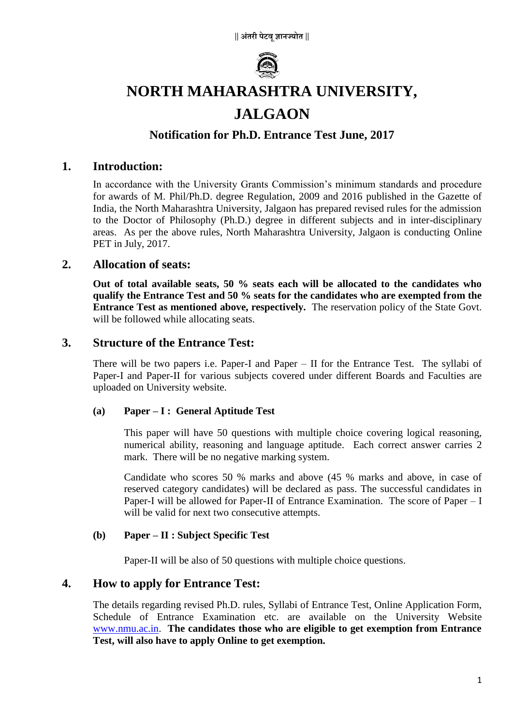

# **NORTH MAHARASHTRA UNIVERSITY,**

# **JALGAON**

# **Notification for Ph.D. Entrance Test June, 2017**

### **1. Introduction:**

In accordance with the University Grants Commission's minimum standards and procedure for awards of M. Phil/Ph.D. degree Regulation, 2009 and 2016 published in the Gazette of India, the North Maharashtra University, Jalgaon has prepared revised rules for the admission to the Doctor of Philosophy (Ph.D.) degree in different subjects and in inter-disciplinary areas. As per the above rules, North Maharashtra University, Jalgaon is conducting Online PET in July, 2017.

### **2. Allocation of seats:**

**Out of total available seats, 50 % seats each will be allocated to the candidates who qualify the Entrance Test and 50 % seats for the candidates who are exempted from the Entrance Test as mentioned above, respectively.** The reservation policy of the State Govt. will be followed while allocating seats.

#### **3. Structure of the Entrance Test:**

There will be two papers i.e. Paper-I and Paper – II for the Entrance Test. The syllabi of Paper-I and Paper-II for various subjects covered under different Boards and Faculties are uploaded on University website.

#### **(a) Paper – I : General Aptitude Test**

This paper will have 50 questions with multiple choice covering logical reasoning, numerical ability, reasoning and language aptitude. Each correct answer carries 2 mark. There will be no negative marking system.

Candidate who scores 50 % marks and above (45 % marks and above, in case of reserved category candidates) will be declared as pass. The successful candidates in Paper-I will be allowed for Paper-II of Entrance Examination. The score of Paper – I will be valid for next two consecutive attempts.

#### **(b) Paper – II : Subject Specific Test**

Paper-II will be also of 50 questions with multiple choice questions.

# **4. How to apply for Entrance Test:**

The details regarding revised Ph.D. rules, Syllabi of Entrance Test, Online Application Form, Schedule of Entrance Examination etc. are available on the University Website [www.nmu.ac.in.](http://www.nmu.ac.in/) **The candidates those who are eligible to get exemption from Entrance Test, will also have to apply Online to get exemption.**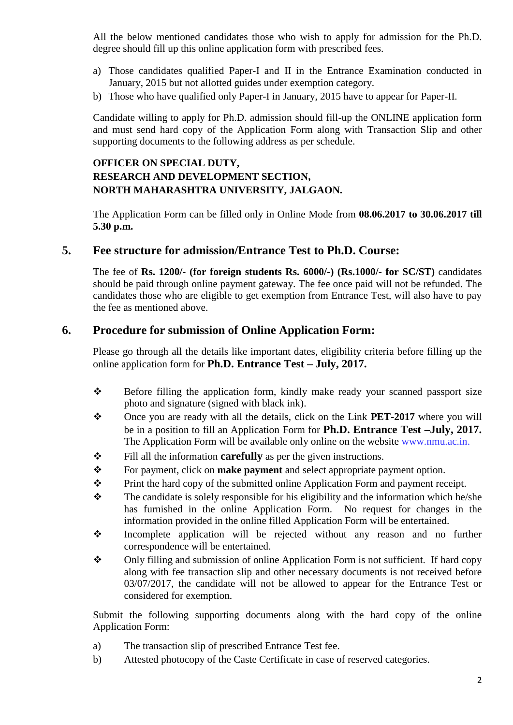All the below mentioned candidates those who wish to apply for admission for the Ph.D. degree should fill up this online application form with prescribed fees.

- a) Those candidates qualified Paper-I and II in the Entrance Examination conducted in January, 2015 but not allotted guides under exemption category.
- b) Those who have qualified only Paper-I in January, 2015 have to appear for Paper-II.

Candidate willing to apply for Ph.D. admission should fill-up the ONLINE application form and must send hard copy of the Application Form along with Transaction Slip and other supporting documents to the following address as per schedule.

## **OFFICER ON SPECIAL DUTY, RESEARCH AND DEVELOPMENT SECTION, NORTH MAHARASHTRA UNIVERSITY, JALGAON.**

The Application Form can be filled only in Online Mode from **08.06.2017 to 30.06.2017 till 5.30 p.m.**

### **5. Fee structure for admission/Entrance Test to Ph.D. Course:**

The fee of **Rs. 1200/- (for foreign students Rs. 6000/-) (Rs.1000/- for SC/ST)** candidates should be paid through online payment gateway. The fee once paid will not be refunded. The candidates those who are eligible to get exemption from Entrance Test, will also have to pay the fee as mentioned above.

## **6. Procedure for submission of Online Application Form:**

Please go through all the details like important dates, eligibility criteria before filling up the online application form for **Ph.D. Entrance Test – July, 2017.**

- $\triangle$  Before filling the application form, kindly make ready your scanned passport size photo and signature (signed with black ink).
- \* Once you are ready with all the details, click on the Link **PET-2017** where you will be in a position to fill an Application Form for **Ph.D. Entrance Test –July, 2017.** The Application Form will be available only online on the website www.nmu.ac.in.
- $\div$  Fill all the information **carefully** as per the given instructions.
- For payment, click on **make payment** and select appropriate payment option.
- Frint the hard copy of the submitted online Application Form and payment receipt.
- $\mathbf{\hat{P}}$  The candidate is solely responsible for his eligibility and the information which he/she has furnished in the online Application Form. No request for changes in the information provided in the online filled Application Form will be entertained.
- Incomplete application will be rejected without any reason and no further correspondence will be entertained.
- Only filling and submission of online Application Form is not sufficient. If hard copy along with fee transaction slip and other necessary documents is not received before 03/07/2017, the candidate will not be allowed to appear for the Entrance Test or considered for exemption.

Submit the following supporting documents along with the hard copy of the online Application Form:

- a) The transaction slip of prescribed Entrance Test fee.
- b) Attested photocopy of the Caste Certificate in case of reserved categories.